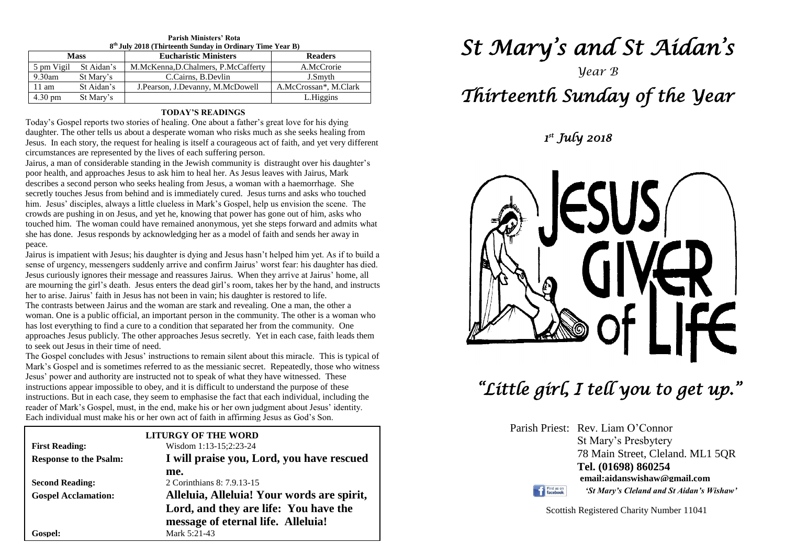| 8 <sup>th</sup> July 2018 (Thirteenth Sunday in Ordinary Time Year B) |            |                                     |                       |  |  |  |
|-----------------------------------------------------------------------|------------|-------------------------------------|-----------------------|--|--|--|
| <b>Mass</b>                                                           |            | <b>Eucharistic Ministers</b>        | <b>Readers</b>        |  |  |  |
| 5 pm Vigil                                                            | St Aidan's | M.McKenna, D.Chalmers, P.McCafferty | A.McCrorie            |  |  |  |
| $9.30$ am                                                             | St Mary's  | C.Cairns, B.Devlin                  | J.Smyth               |  |  |  |
| 11 am                                                                 | St Aidan's | J. Pearson, J. Devanny, M. McDowell | A.McCrossan*, M.Clark |  |  |  |
| $4.30 \text{ pm}$                                                     | St Mary's  |                                     | L.Higgins             |  |  |  |

# **Parish Ministers' Rota**

#### **TODAY'S READINGS**

Today's Gospel reports two stories of healing. One about a father's great love for his dying daughter. The other tells us about a desperate woman who risks much as she seeks healing from Jesus. In each story, the request for healing is itself a courageous act of faith, and yet very different circumstances are represented by the lives of each suffering person.

Jairus, a man of considerable standing in the Jewish community is distraught over his daughter's poor health, and approaches Jesus to ask him to heal her. As Jesus leaves with Jairus, Mark describes a second person who seeks healing from Jesus, a woman with a haemorrhage. She secretly touches Jesus from behind and is immediately cured. Jesus turns and asks who touched him. Jesus' disciples, always a little clueless in Mark's Gospel, help us envision the scene. The crowds are pushing in on Jesus, and yet he, knowing that power has gone out of him, asks who touched him. The woman could have remained anonymous, yet she steps forward and admits what she has done. Jesus responds by acknowledging her as a model of faith and sends her away in peace.

are mourning the girl's death. Jesus enters the dead girl's room, takes her by the han<br>her to arise. Jairus' faith in Jesus has not been in vain; his daughter is restored to life.<br>The contrasts between Jairus and the woman Jairus is impatient with Jesus; his daughter is dying and Jesus hasn't helped him yet. As if to build a sense of urgency, messengers suddenly arrive and confirm Jairus' worst fear: his daughter has died. Jesus curiously ignores their message and reassures Jairus. When they arrive at Jairus' home, all are mourning the girl's death. Jesus enters the dead girl's room, takes her by the hand, and instructs

woman. One is a public official, an important person in the community. The other is a woman<br>has lost everything to find a cure to a condition that separated her from the community. One<br>approaches Jesus publicly. The other The contrasts between Jairus and the woman are stark and revealing. One a man, the other a woman. One is a public official, an important person in the community. The other is a woman who approaches Jesus publicly. The other approaches Jesus secretly. Yet in each case, faith leads them to seek out Jesus in their time of need.

to seek out Jesus in their time or need.<br>The Gospel concludes with Jesus' instructions to remain silent about this miracle. This is typical of<br>Mark's Gospel and is sometimes referred to as the messianic secret. Repeatedly, **SESSEM SERVER THESE INSTRUCTED IN A SERVEROL SERVEROL IS SERVERT SERVERT SERVERT IMPOSSIBLE TO OBEY, and it is difficult to understand the purpose of these instructions. But in each case, they seem to emphasise the fact t** reader or Mark s Gosper, must, in the end, make his or her own judgment about Jesus<br>Each individual must make his or her own act of faith in affirming Jesus as God's Son. Mark's Gospel and is sometimes referred to as the messianic secret. Repeatedly, those who witness Jesus' power and authority are instructed not to speak of what they have witnessed. These instructions. But in each case, they seem to emphasise the fact that each individual, including the reader of Mark's Gospel, must, in the end, make his or her own judgment about Jesus' identity.

|                               | <b>LITURGY OF THE WORD</b>                                                  |  |  |
|-------------------------------|-----------------------------------------------------------------------------|--|--|
| <b>First Reading:</b>         | Wisdom 1:13-15;2:23-24                                                      |  |  |
| <b>Response to the Psalm:</b> | I will praise you, Lord, you have rescued                                   |  |  |
|                               | me.                                                                         |  |  |
| <b>Second Reading:</b>        | 2 Corinthians 8: 7.9.13-15                                                  |  |  |
| <b>Gospel Acclamation:</b>    | Alleluia, Alleluia! Your words are spirit,                                  |  |  |
|                               | Lord, and they are life: You have the<br>message of eternal life. Alleluia! |  |  |
| Gospel:                       | Mark 5:21-43                                                                |  |  |

# *St Mary's and St Aidan's*

# *Year B Thirteenth Sunday of the Year*

*1 st July 2018* 



*"Little girl, I tell you to get up."* 

Parish Priest: Rev. Liam O'Connor St Mary's Presbytery 78 Main Street, Cleland. ML1 5QR **Tel. (01698) 860254 email:aidanswishaw@gmail.com** *'St Mary's Cleland and St Aidan's Wishaw'*

Find us on

Scottish Registered Charity Number 11041